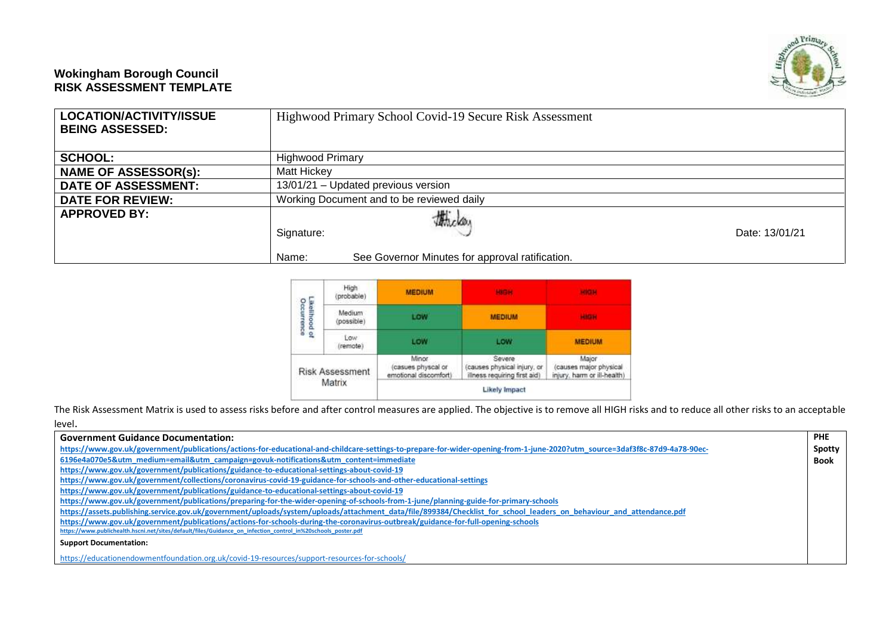## **Wokingham Borough Council RISK ASSESSMENT TEMPLATE**



| <b>SCHOOL:</b>              | <b>Highwood Primary</b>                                                          |                |
|-----------------------------|----------------------------------------------------------------------------------|----------------|
| <b>NAME OF ASSESSOR(s):</b> | Matt Hickey                                                                      |                |
| <b>DATE OF ASSESSMENT:</b>  | 13/01/21 - Updated previous version                                              |                |
| <b>DATE FOR REVIEW:</b>     | Working Document and to be reviewed daily                                        |                |
| <b>APPROVED BY:</b>         | thela.<br>Signature:<br>See Governor Minutes for approval ratification.<br>Name: | Date: 13/01/21 |

|                             | Matrix                 |                                                      | <b>Likely Impact</b>                                                 |                                                                |
|-----------------------------|------------------------|------------------------------------------------------|----------------------------------------------------------------------|----------------------------------------------------------------|
|                             | <b>Risk Assessment</b> | Minor.<br>casues physcal or<br>emotional discomfort) | Severe<br>causes physical injury, or<br>illness requiring first aid) | Major<br>(causes major physical<br>injury, harm or ill-health) |
|                             | LOW.<br>(remote)       | LOW                                                  | LOW                                                                  | <b>MEDIUM</b>                                                  |
| Likelihood of<br>Occurrence | Medium<br>(possible)   | LOW                                                  | <b>MEDIUM</b>                                                        | <b>HEGH</b>                                                    |
|                             | High<br>(probable)     | <b>MEDIUM</b>                                        |                                                                      |                                                                |

The Risk Assessment Matrix is used to assess risks before and after control measures are applied. The objective is to remove all HIGH risks and to reduce all other risks to an acceptable

| level.            |
|-------------------|
| Government Guidar |

| <b>Government Guidance Documentation:</b>                                                                                                                                   | <b>PHE</b>  |
|-----------------------------------------------------------------------------------------------------------------------------------------------------------------------------|-------------|
| https://www.gov.uk/government/publications/actions-for-educational-and-childcare-settings-to-prepare-for-wider-opening-from-1-june-2020?utm source=3daf3f8c-87d9-4a78-90ec- | Spotty      |
| 6196e4a070e5&utm_medium=email&utm_campaign=govuk-notifications&utm_content=immediate                                                                                        | <b>Book</b> |
| https://www.gov.uk/government/publications/guidance-to-educational-settings-about-covid-19                                                                                  |             |
| https://www.gov.uk/government/collections/coronavirus-covid-19-guidance-for-schools-and-other-educational-settings                                                          |             |
| https://www.gov.uk/government/publications/guidance-to-educational-settings-about-covid-19                                                                                  |             |
| https://www.gov.uk/government/publications/preparing-for-the-wider-opening-of-schools-from-1-june/planning-guide-for-primary-schools                                        |             |
| https://assets.publishing.service.gov.uk/government/uploads/system/uploads/attachment data/file/899384/Checklist for school leaders on behaviour and attendance.pdf         |             |
| https://www.gov.uk/government/publications/actions-for-schools-during-the-coronavirus-outbreak/guidance-for-full-opening-schools                                            |             |
| https://www.publichealth.hscni.net/sites/default/files/Guidance_on_infection_control in%20schools poster.pdf                                                                |             |
| <b>Support Documentation:</b>                                                                                                                                               |             |
| https://educationendowmentfoundation.org.uk/covid-19-resources/support-resources-for-schools/                                                                               |             |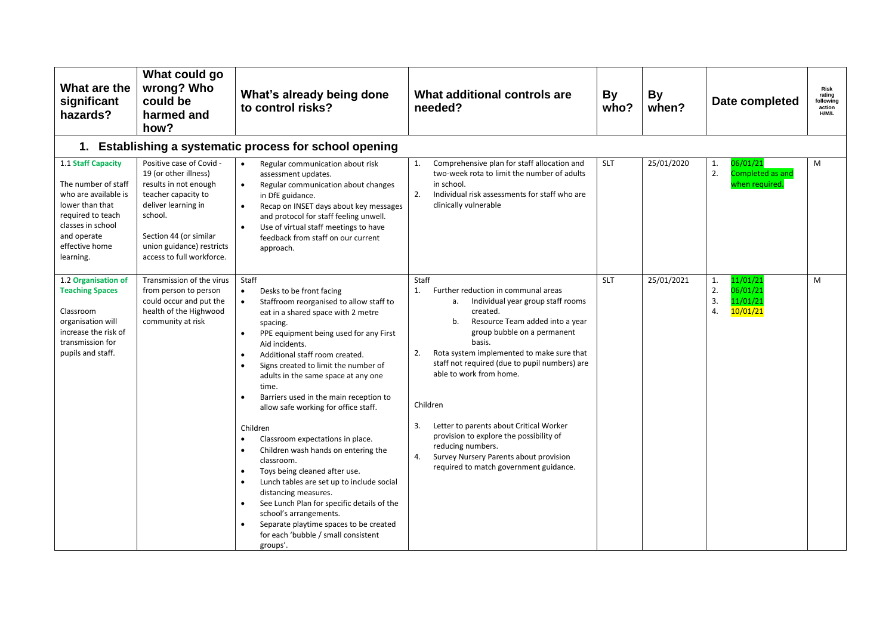| What are the<br>significant<br>hazards?                                                                                                                                      | What could go<br>wrong? Who<br>could be<br>harmed and<br>how?                                                                                                                                                           | What's already being done<br>to control risks?                                                                                                                                                                                                                                                                                                                                                                                                                                                                                                                                                                                                                                                                                                                                                                                | What additional controls are<br>needed?                                                                                                                                                                                                                                                                                                                                                                                                                                                                                                           | <b>By</b><br>who? | <b>By</b><br>when? | Date completed                                                       | <b>Risk</b><br>rating<br>followina<br>action<br><b>H/M/L</b> |
|------------------------------------------------------------------------------------------------------------------------------------------------------------------------------|-------------------------------------------------------------------------------------------------------------------------------------------------------------------------------------------------------------------------|-------------------------------------------------------------------------------------------------------------------------------------------------------------------------------------------------------------------------------------------------------------------------------------------------------------------------------------------------------------------------------------------------------------------------------------------------------------------------------------------------------------------------------------------------------------------------------------------------------------------------------------------------------------------------------------------------------------------------------------------------------------------------------------------------------------------------------|---------------------------------------------------------------------------------------------------------------------------------------------------------------------------------------------------------------------------------------------------------------------------------------------------------------------------------------------------------------------------------------------------------------------------------------------------------------------------------------------------------------------------------------------------|-------------------|--------------------|----------------------------------------------------------------------|--------------------------------------------------------------|
|                                                                                                                                                                              |                                                                                                                                                                                                                         | 1. Establishing a systematic process for school opening                                                                                                                                                                                                                                                                                                                                                                                                                                                                                                                                                                                                                                                                                                                                                                       |                                                                                                                                                                                                                                                                                                                                                                                                                                                                                                                                                   |                   |                    |                                                                      |                                                              |
| 1.1 Staff Capacity<br>The number of staff<br>who are available is<br>lower than that<br>required to teach<br>classes in school<br>and operate<br>effective home<br>learning. | Positive case of Covid -<br>19 (or other illness)<br>results in not enough<br>teacher capacity to<br>deliver learning in<br>school.<br>Section 44 (or similar<br>union guidance) restricts<br>access to full workforce. | Regular communication about risk<br>$\bullet$<br>assessment updates.<br>Regular communication about changes<br>$\bullet$<br>in DfE guidance.<br>Recap on INSET days about key messages<br>and protocol for staff feeling unwell.<br>Use of virtual staff meetings to have<br>feedback from staff on our current<br>approach.                                                                                                                                                                                                                                                                                                                                                                                                                                                                                                  | Comprehensive plan for staff allocation and<br>1.<br>two-week rota to limit the number of adults<br>in school.<br>2.<br>Individual risk assessments for staff who are<br>clinically vulnerable                                                                                                                                                                                                                                                                                                                                                    | <b>SLT</b>        | 25/01/2020         | 06/01/21<br>1.<br>2.<br><b>Completed as and</b><br>when required.    | M                                                            |
| 1.2 Organisation of<br><b>Teaching Spaces</b><br>Classroom<br>organisation will<br>increase the risk of<br>transmission for<br>pupils and staff.                             | Transmission of the virus<br>from person to person<br>could occur and put the<br>health of the Highwood<br>community at risk                                                                                            | Staff<br>Desks to be front facing<br>$\bullet$<br>Staffroom reorganised to allow staff to<br>eat in a shared space with 2 metre<br>spacing.<br>PPE equipment being used for any First<br>$\bullet$<br>Aid incidents.<br>Additional staff room created.<br>Signs created to limit the number of<br>adults in the same space at any one<br>time.<br>Barriers used in the main reception to<br>allow safe working for office staff.<br>Children<br>Classroom expectations in place.<br>Children wash hands on entering the<br>classroom.<br>Toys being cleaned after use.<br>$\bullet$<br>Lunch tables are set up to include social<br>distancing measures.<br>See Lunch Plan for specific details of the<br>school's arrangements.<br>Separate playtime spaces to be created<br>for each 'bubble / small consistent<br>groups'. | Staff<br>Further reduction in communal areas<br>1.<br>Individual year group staff rooms<br>a.<br>created.<br>Resource Team added into a year<br>b.<br>group bubble on a permanent<br>basis.<br>2.<br>Rota system implemented to make sure that<br>staff not required (due to pupil numbers) are<br>able to work from home.<br>Children<br>3.<br>Letter to parents about Critical Worker<br>provision to explore the possibility of<br>reducing numbers.<br>Survey Nursery Parents about provision<br>4.<br>required to match government guidance. | <b>SLT</b>        | 25/01/2021         | 11/01/21<br>1.<br>2.<br>06/01/21<br>3.<br>11/01/21<br>4.<br>10/01/21 | M                                                            |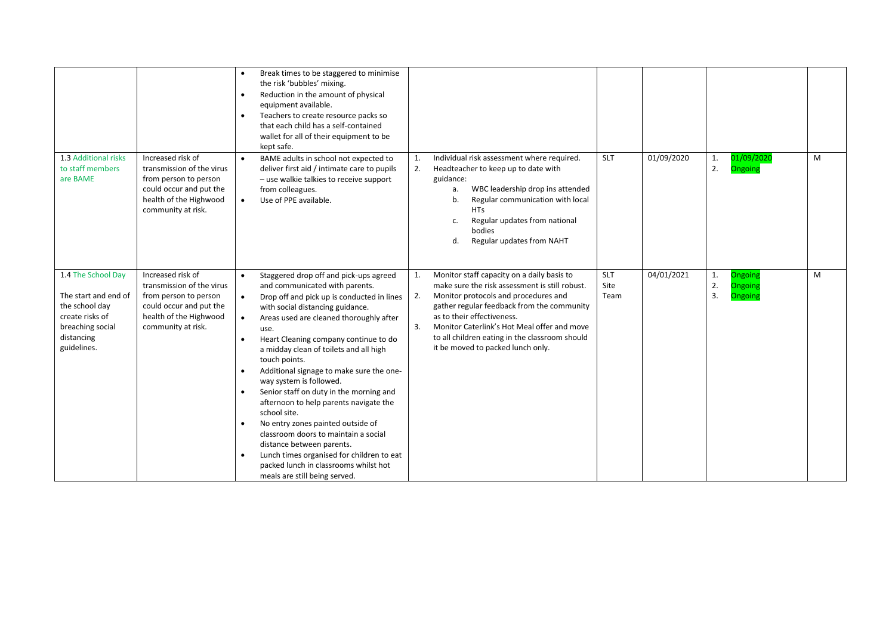|                                                                                                                                  |                                                                                                                                                    | Break times to be staggered to minimise<br>the risk 'bubbles' mixing.<br>Reduction in the amount of physical<br>$\bullet$<br>equipment available.<br>Teachers to create resource packs so<br>$\bullet$<br>that each child has a self-contained<br>wallet for all of their equipment to be<br>kept safe.                                                                                                                                                                                                                                                                                                                                                                                                                                                                                                      |                                                                                                                                                                                                                                                                                                                                                                          |                     |            |                                               |   |
|----------------------------------------------------------------------------------------------------------------------------------|----------------------------------------------------------------------------------------------------------------------------------------------------|--------------------------------------------------------------------------------------------------------------------------------------------------------------------------------------------------------------------------------------------------------------------------------------------------------------------------------------------------------------------------------------------------------------------------------------------------------------------------------------------------------------------------------------------------------------------------------------------------------------------------------------------------------------------------------------------------------------------------------------------------------------------------------------------------------------|--------------------------------------------------------------------------------------------------------------------------------------------------------------------------------------------------------------------------------------------------------------------------------------------------------------------------------------------------------------------------|---------------------|------------|-----------------------------------------------|---|
| 1.3 Additional risks<br>to staff members<br>are BAME                                                                             | Increased risk of<br>transmission of the virus<br>from person to person<br>could occur and put the<br>health of the Highwood<br>community at risk. | BAME adults in school not expected to<br>$\bullet$<br>deliver first aid / intimate care to pupils<br>- use walkie talkies to receive support<br>from colleagues.<br>Use of PPE available.<br>$\bullet$                                                                                                                                                                                                                                                                                                                                                                                                                                                                                                                                                                                                       | Individual risk assessment where required.<br>1.<br>2.<br>Headteacher to keep up to date with<br>guidance:<br>WBC leadership drop ins attended<br>a.<br>Regular communication with local<br>b.<br><b>HTs</b><br>Regular updates from national<br>c.<br>bodies<br>Regular updates from NAHT<br>d.                                                                         | SLT                 | 01/09/2020 | 01/09/2020<br>1.<br>2.<br>Ongoing             | M |
| 1.4 The School Day<br>The start and end of<br>the school day<br>create risks of<br>breaching social<br>distancing<br>guidelines. | Increased risk of<br>transmission of the virus<br>from person to person<br>could occur and put the<br>health of the Highwood<br>community at risk. | Staggered drop off and pick-ups agreed<br>$\bullet$<br>and communicated with parents.<br>Drop off and pick up is conducted in lines<br>$\bullet$<br>with social distancing guidance.<br>Areas used are cleaned thoroughly after<br>$\bullet$<br>use.<br>Heart Cleaning company continue to do<br>$\bullet$<br>a midday clean of toilets and all high<br>touch points.<br>Additional signage to make sure the one-<br>way system is followed.<br>Senior staff on duty in the morning and<br>afternoon to help parents navigate the<br>school site.<br>No entry zones painted outside of<br>$\bullet$<br>classroom doors to maintain a social<br>distance between parents.<br>Lunch times organised for children to eat<br>$\bullet$<br>packed lunch in classrooms whilst hot<br>meals are still being served. | Monitor staff capacity on a daily basis to<br>1.<br>make sure the risk assessment is still robust.<br>2.<br>Monitor protocols and procedures and<br>gather regular feedback from the community<br>as to their effectiveness.<br>3.<br>Monitor Caterlink's Hot Meal offer and move<br>to all children eating in the classroom should<br>it be moved to packed lunch only. | SLT<br>Site<br>Team | 04/01/2021 | 1.<br>Ongoin<br>2.<br>Ongoin<br>3.<br>Ongoing | M |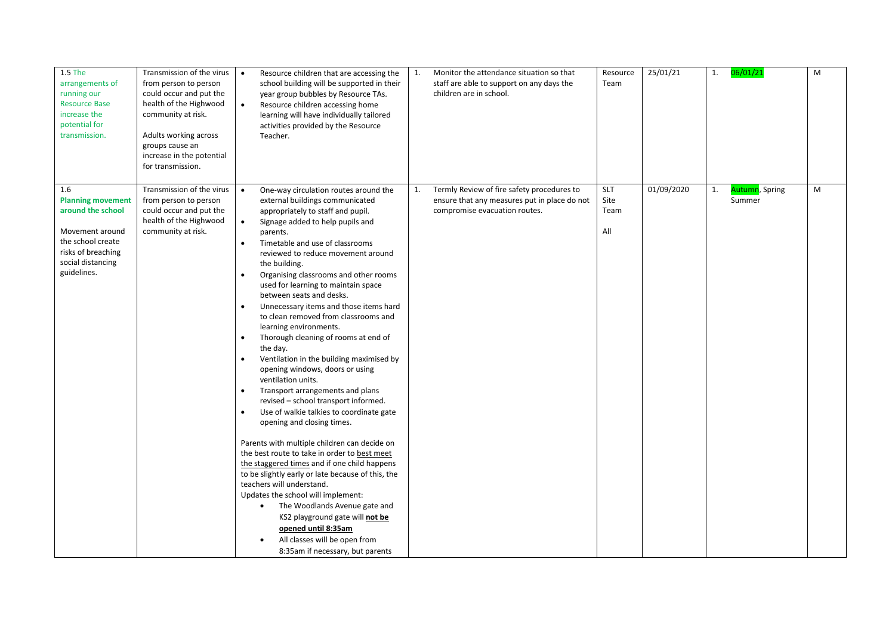| 1.5 The<br>arrangements of<br>running our<br><b>Resource Base</b><br>increase the<br>potential for<br>transmission.                                    | Transmission of the virus<br>from person to person<br>could occur and put the<br>health of the Highwood<br>community at risk.<br>Adults working across<br>groups cause an<br>increase in the potential<br>for transmission. | Resource children that are accessing the<br>$\bullet$<br>school building will be supported in their<br>year group bubbles by Resource TAs.<br>Resource children accessing home<br>$\bullet$<br>learning will have individually tailored<br>activities provided by the Resource<br>Teacher.                                                                                                                                                                                                                                                                                                                                                                                                                                                                                                                                                                                                                                                                                                                                                                                                                                                                                                                                                                                                                                        | 1. | Monitor the attendance situation so that<br>staff are able to support on any days the<br>children are in school.            | Resource<br>Team                  | 25/01/21   | 1. | 06/01/21                               | M |
|--------------------------------------------------------------------------------------------------------------------------------------------------------|-----------------------------------------------------------------------------------------------------------------------------------------------------------------------------------------------------------------------------|-----------------------------------------------------------------------------------------------------------------------------------------------------------------------------------------------------------------------------------------------------------------------------------------------------------------------------------------------------------------------------------------------------------------------------------------------------------------------------------------------------------------------------------------------------------------------------------------------------------------------------------------------------------------------------------------------------------------------------------------------------------------------------------------------------------------------------------------------------------------------------------------------------------------------------------------------------------------------------------------------------------------------------------------------------------------------------------------------------------------------------------------------------------------------------------------------------------------------------------------------------------------------------------------------------------------------------------|----|-----------------------------------------------------------------------------------------------------------------------------|-----------------------------------|------------|----|----------------------------------------|---|
| 1.6<br><b>Planning movement</b><br>around the school<br>Movement around<br>the school create<br>risks of breaching<br>social distancing<br>guidelines. | Transmission of the virus<br>from person to person<br>could occur and put the<br>health of the Highwood<br>community at risk.                                                                                               | $\bullet$<br>One-way circulation routes around the<br>external buildings communicated<br>appropriately to staff and pupil.<br>$\bullet$<br>Signage added to help pupils and<br>parents.<br>Timetable and use of classrooms<br>$\bullet$<br>reviewed to reduce movement around<br>the building.<br>Organising classrooms and other rooms<br>$\bullet$<br>used for learning to maintain space<br>between seats and desks.<br>Unnecessary items and those items hard<br>$\bullet$<br>to clean removed from classrooms and<br>learning environments.<br>Thorough cleaning of rooms at end of<br>$\bullet$<br>the day.<br>Ventilation in the building maximised by<br>opening windows, doors or using<br>ventilation units.<br>Transport arrangements and plans<br>revised - school transport informed.<br>Use of walkie talkies to coordinate gate<br>$\bullet$<br>opening and closing times.<br>Parents with multiple children can decide on<br>the best route to take in order to best meet<br>the staggered times and if one child happens<br>to be slightly early or late because of this, the<br>teachers will understand.<br>Updates the school will implement:<br>The Woodlands Avenue gate and<br>KS2 playground gate will not be<br>opened until 8:35am<br>All classes will be open from<br>8:35am if necessary, but parents | 1. | Termly Review of fire safety procedures to<br>ensure that any measures put in place do not<br>compromise evacuation routes. | <b>SLT</b><br>Site<br>Team<br>All | 01/09/2020 | 1. | <mark>Autumn</mark> , Spring<br>Summer | M |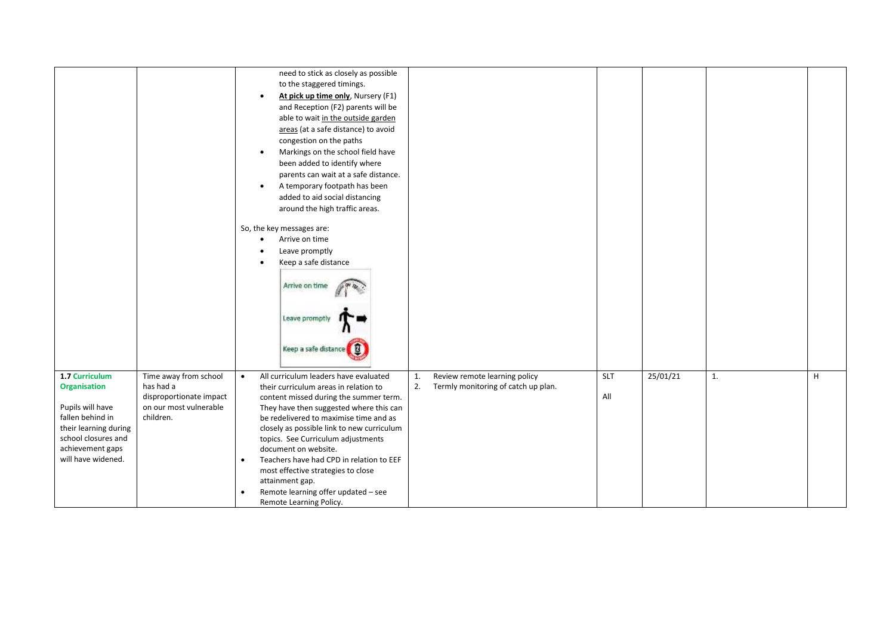|                                                                                                                                                                         |                                                                                                      | $\bullet$<br>$\bullet$<br>$\bullet$ | need to stick as closely as possible<br>to the staggered timings.<br>At pick up time only, Nursery (F1)<br>and Reception (F2) parents will be<br>able to wait in the outside garden<br>areas (at a safe distance) to avoid<br>congestion on the paths<br>Markings on the school field have<br>been added to identify where<br>parents can wait at a safe distance.<br>A temporary footpath has been<br>added to aid social distancing<br>around the high traffic areas.<br>So, the key messages are:<br>Arrive on time<br>Leave promptly<br>Keep a safe distance<br>Arrive on time<br>Leave prompt<br>Keep a safe distance |          |                                                                      |            |          |    |   |
|-------------------------------------------------------------------------------------------------------------------------------------------------------------------------|------------------------------------------------------------------------------------------------------|-------------------------------------|----------------------------------------------------------------------------------------------------------------------------------------------------------------------------------------------------------------------------------------------------------------------------------------------------------------------------------------------------------------------------------------------------------------------------------------------------------------------------------------------------------------------------------------------------------------------------------------------------------------------------|----------|----------------------------------------------------------------------|------------|----------|----|---|
| 1.7 Curriculum<br><b>Organisation</b><br>Pupils will have<br>fallen behind in<br>their learning during<br>school closures and<br>achievement gaps<br>will have widened. | Time away from school<br>has had a<br>disproportionate impact<br>on our most vulnerable<br>children. | $\bullet$<br>$\bullet$<br>$\bullet$ | All curriculum leaders have evaluated<br>their curriculum areas in relation to<br>content missed during the summer term.<br>They have then suggested where this can<br>be redelivered to maximise time and as<br>closely as possible link to new curriculum<br>topics. See Curriculum adjustments<br>document on website.<br>Teachers have had CPD in relation to EEF<br>most effective strategies to close<br>attainment gap.<br>Remote learning offer updated - see<br>Remote Learning Policy.                                                                                                                           | 1.<br>2. | Review remote learning policy<br>Termly monitoring of catch up plan. | SLT<br>All | 25/01/21 | 1. | H |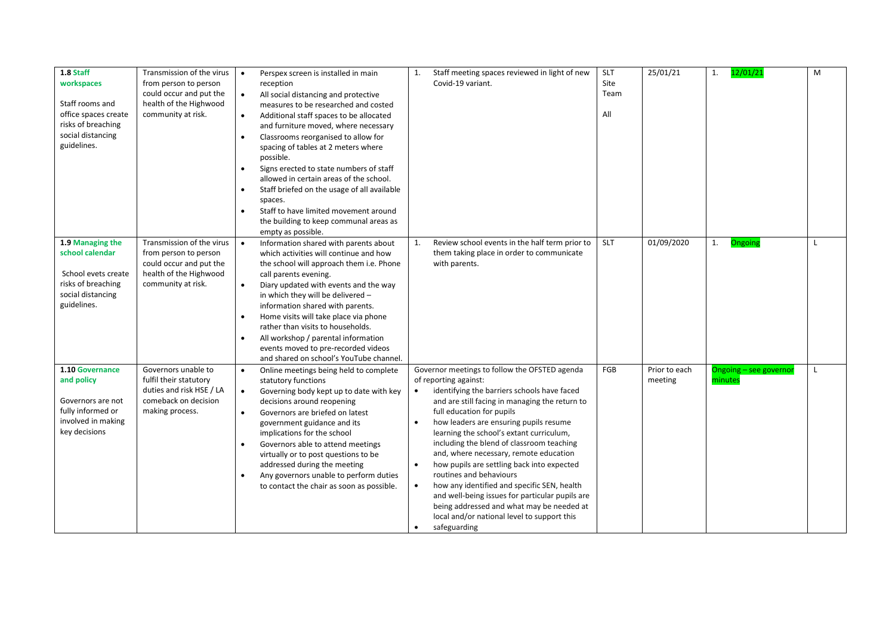| 1.8 Staff            | Transmission of the virus | $\bullet$ | Perspex screen is installed in main         | 1.        | Staff meeting spaces reviewed in light of new   | <b>SLT</b> | 25/01/21      | 1.<br>12/01/21         | M            |
|----------------------|---------------------------|-----------|---------------------------------------------|-----------|-------------------------------------------------|------------|---------------|------------------------|--------------|
| workspaces           | from person to person     |           | reception                                   |           | Covid-19 variant.                               | Site       |               |                        |              |
|                      | could occur and put the   | $\bullet$ | All social distancing and protective        |           |                                                 | Team       |               |                        |              |
| Staff rooms and      | health of the Highwood    |           | measures to be researched and costed        |           |                                                 |            |               |                        |              |
| office spaces create | community at risk.        | $\bullet$ | Additional staff spaces to be allocated     |           |                                                 | All        |               |                        |              |
| risks of breaching   |                           |           | and furniture moved, where necessary        |           |                                                 |            |               |                        |              |
| social distancing    |                           |           |                                             |           |                                                 |            |               |                        |              |
| guidelines.          |                           | $\bullet$ | Classrooms reorganised to allow for         |           |                                                 |            |               |                        |              |
|                      |                           |           | spacing of tables at 2 meters where         |           |                                                 |            |               |                        |              |
|                      |                           |           | possible.                                   |           |                                                 |            |               |                        |              |
|                      |                           | $\bullet$ | Signs erected to state numbers of staff     |           |                                                 |            |               |                        |              |
|                      |                           |           | allowed in certain areas of the school.     |           |                                                 |            |               |                        |              |
|                      |                           |           | Staff briefed on the usage of all available |           |                                                 |            |               |                        |              |
|                      |                           |           | spaces.                                     |           |                                                 |            |               |                        |              |
|                      |                           | $\bullet$ | Staff to have limited movement around       |           |                                                 |            |               |                        |              |
|                      |                           |           | the building to keep communal areas as      |           |                                                 |            |               |                        |              |
|                      |                           |           | empty as possible.                          |           |                                                 |            |               |                        |              |
|                      | Transmission of the virus |           |                                             | 1.        |                                                 |            | 01/09/2020    |                        | $\mathbf{I}$ |
| 1.9 Managing the     |                           | $\bullet$ | Information shared with parents about       |           | Review school events in the half term prior to  | <b>SLT</b> |               | 1.<br>Ongoing          |              |
| school calendar      | from person to person     |           | which activities will continue and how      |           | them taking place in order to communicate       |            |               |                        |              |
|                      | could occur and put the   |           | the school will approach them i.e. Phone    |           | with parents.                                   |            |               |                        |              |
| School evets create  | health of the Highwood    |           | call parents evening.                       |           |                                                 |            |               |                        |              |
| risks of breaching   | community at risk.        | $\bullet$ | Diary updated with events and the way       |           |                                                 |            |               |                        |              |
| social distancing    |                           |           | in which they will be delivered -           |           |                                                 |            |               |                        |              |
| guidelines.          |                           |           | information shared with parents.            |           |                                                 |            |               |                        |              |
|                      |                           |           | Home visits will take place via phone       |           |                                                 |            |               |                        |              |
|                      |                           |           | rather than visits to households.           |           |                                                 |            |               |                        |              |
|                      |                           | $\bullet$ | All workshop / parental information         |           |                                                 |            |               |                        |              |
|                      |                           |           | events moved to pre-recorded videos         |           |                                                 |            |               |                        |              |
|                      |                           |           |                                             |           |                                                 |            |               |                        |              |
|                      |                           |           | and shared on school's YouTube channel.     |           |                                                 |            |               |                        |              |
| 1.10 Governance      | Governors unable to       | $\bullet$ | Online meetings being held to complete      |           | Governor meetings to follow the OFSTED agenda   | FGB        | Prior to each | Ongoing - see governor |              |
| and policy           | fulfil their statutory    |           | statutory functions                         |           | of reporting against:                           |            | meeting       | minutes                |              |
|                      | duties and risk HSE / LA  | $\bullet$ | Governing body kept up to date with key     | $\bullet$ | identifying the barriers schools have faced     |            |               |                        |              |
| Governors are not    | comeback on decision      |           | decisions around reopening                  |           | and are still facing in managing the return to  |            |               |                        |              |
| fully informed or    | making process.           | $\bullet$ | Governors are briefed on latest             |           | full education for pupils                       |            |               |                        |              |
| involved in making   |                           |           | government guidance and its                 | $\bullet$ | how leaders are ensuring pupils resume          |            |               |                        |              |
| key decisions        |                           |           | implications for the school                 |           | learning the school's extant curriculum,        |            |               |                        |              |
|                      |                           |           | Governors able to attend meetings           |           | including the blend of classroom teaching       |            |               |                        |              |
|                      |                           |           | virtually or to post questions to be        |           | and, where necessary, remote education          |            |               |                        |              |
|                      |                           |           |                                             |           | how pupils are settling back into expected      |            |               |                        |              |
|                      |                           |           | addressed during the meeting                | $\bullet$ | routines and behaviours                         |            |               |                        |              |
|                      |                           | $\bullet$ | Any governors unable to perform duties      |           |                                                 |            |               |                        |              |
|                      |                           |           | to contact the chair as soon as possible.   | $\bullet$ | how any identified and specific SEN, health     |            |               |                        |              |
|                      |                           |           |                                             |           | and well-being issues for particular pupils are |            |               |                        |              |
|                      |                           |           |                                             |           | being addressed and what may be needed at       |            |               |                        |              |
|                      |                           |           |                                             |           | local and/or national level to support this     |            |               |                        |              |
|                      |                           |           |                                             | ٠         | safeguarding                                    |            |               |                        |              |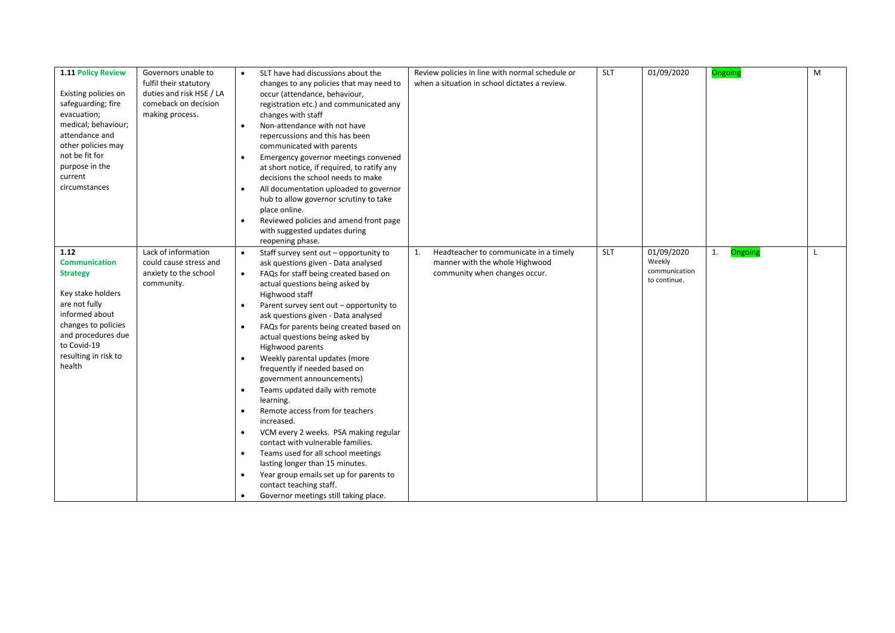| 1.11 Policy Review   | Governors unable to      |           | SLT have had discussions about the          |    | Review policies in line with normal schedule or | <b>SLT</b> | 01/09/2020              | Ongoing              | M |
|----------------------|--------------------------|-----------|---------------------------------------------|----|-------------------------------------------------|------------|-------------------------|----------------------|---|
|                      | fulfil their statutory   |           | changes to any policies that may need to    |    | when a situation in school dictates a review.   |            |                         |                      |   |
| Existing policies on | duties and risk HSE / LA |           | occur (attendance, behaviour,               |    |                                                 |            |                         |                      |   |
| safeguarding; fire   | comeback on decision     |           | registration etc.) and communicated any     |    |                                                 |            |                         |                      |   |
| evacuation;          | making process.          |           | changes with staff                          |    |                                                 |            |                         |                      |   |
| medical; behaviour;  |                          |           | Non-attendance with not have                |    |                                                 |            |                         |                      |   |
| attendance and       |                          | $\bullet$ |                                             |    |                                                 |            |                         |                      |   |
| other policies may   |                          |           | repercussions and this has been             |    |                                                 |            |                         |                      |   |
| not be fit for       |                          |           | communicated with parents                   |    |                                                 |            |                         |                      |   |
| purpose in the       |                          |           | Emergency governor meetings convened        |    |                                                 |            |                         |                      |   |
| current              |                          |           | at short notice, if required, to ratify any |    |                                                 |            |                         |                      |   |
| circumstances        |                          |           | decisions the school needs to make          |    |                                                 |            |                         |                      |   |
|                      |                          | $\bullet$ | All documentation uploaded to governor      |    |                                                 |            |                         |                      |   |
|                      |                          |           | hub to allow governor scrutiny to take      |    |                                                 |            |                         |                      |   |
|                      |                          |           | place online.                               |    |                                                 |            |                         |                      |   |
|                      |                          | $\bullet$ | Reviewed policies and amend front page      |    |                                                 |            |                         |                      |   |
|                      |                          |           | with suggested updates during               |    |                                                 |            |                         |                      |   |
|                      |                          |           | reopening phase.                            |    |                                                 |            |                         |                      |   |
| 1.12                 | Lack of information      | $\bullet$ | Staff survey sent out - opportunity to      | 1. | Headteacher to communicate in a timely          | SLT        | 01/09/2020              | 1.<br><b>Ongoing</b> |   |
| <b>Communication</b> | could cause stress and   |           | ask questions given - Data analysed         |    | manner with the whole Highwood                  |            | Weekly<br>communication |                      |   |
| <b>Strategy</b>      | anxiety to the school    | $\bullet$ | FAQs for staff being created based on       |    | community when changes occur.                   |            | to continue.            |                      |   |
|                      | community.               |           | actual questions being asked by             |    |                                                 |            |                         |                      |   |
| Key stake holders    |                          |           | Highwood staff                              |    |                                                 |            |                         |                      |   |
| are not fully        |                          | $\bullet$ | Parent survey sent out - opportunity to     |    |                                                 |            |                         |                      |   |
| informed about       |                          |           | ask questions given - Data analysed         |    |                                                 |            |                         |                      |   |
| changes to policies  |                          |           | FAQs for parents being created based on     |    |                                                 |            |                         |                      |   |
| and procedures due   |                          |           | actual questions being asked by             |    |                                                 |            |                         |                      |   |
| to Covid-19          |                          |           | Highwood parents                            |    |                                                 |            |                         |                      |   |
| resulting in risk to |                          | $\bullet$ | Weekly parental updates (more               |    |                                                 |            |                         |                      |   |
| health               |                          |           | frequently if needed based on               |    |                                                 |            |                         |                      |   |
|                      |                          |           | government announcements)                   |    |                                                 |            |                         |                      |   |
|                      |                          | $\bullet$ | Teams updated daily with remote             |    |                                                 |            |                         |                      |   |
|                      |                          |           | learning.                                   |    |                                                 |            |                         |                      |   |
|                      |                          | $\bullet$ | Remote access from for teachers             |    |                                                 |            |                         |                      |   |
|                      |                          |           | increased.                                  |    |                                                 |            |                         |                      |   |
|                      |                          | $\bullet$ | VCM every 2 weeks. PSA making regular       |    |                                                 |            |                         |                      |   |
|                      |                          |           | contact with vulnerable families.           |    |                                                 |            |                         |                      |   |
|                      |                          | $\bullet$ | Teams used for all school meetings          |    |                                                 |            |                         |                      |   |
|                      |                          |           | lasting longer than 15 minutes.             |    |                                                 |            |                         |                      |   |
|                      |                          | $\bullet$ | Year group emails set up for parents to     |    |                                                 |            |                         |                      |   |
|                      |                          |           | contact teaching staff.                     |    |                                                 |            |                         |                      |   |
|                      |                          |           | Governor meetings still taking place.       |    |                                                 |            |                         |                      |   |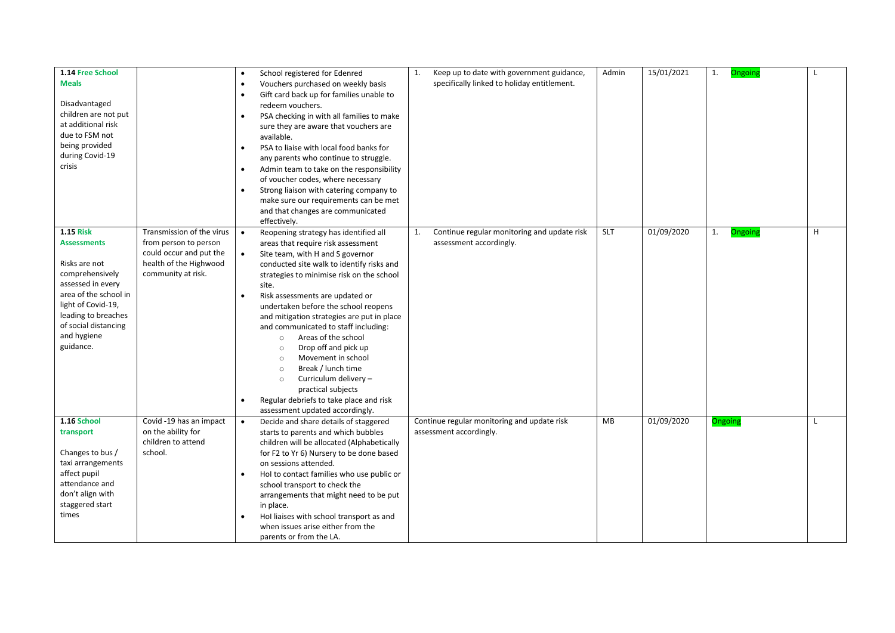| 1.14 Free School<br><b>Meals</b><br>Disadvantaged<br>children are not put                                              |                                                                                                                               | $\bullet$              | School registered for Edenred<br>Vouchers purchased on weekly basis<br>Gift card back up for families unable to<br>redeem vouchers.<br>PSA checking in with all families to make                                                                                                                                                                                                                                                             | 1. | Keep up to date with government guidance,<br>specifically linked to holiday entitlement. | Admin      | 15/01/2021 | 1.<br>Ongoing |   |
|------------------------------------------------------------------------------------------------------------------------|-------------------------------------------------------------------------------------------------------------------------------|------------------------|----------------------------------------------------------------------------------------------------------------------------------------------------------------------------------------------------------------------------------------------------------------------------------------------------------------------------------------------------------------------------------------------------------------------------------------------|----|------------------------------------------------------------------------------------------|------------|------------|---------------|---|
| at additional risk<br>due to FSM not<br>being provided<br>during Covid-19<br>crisis                                    |                                                                                                                               | $\bullet$              | sure they are aware that vouchers are<br>available.<br>PSA to liaise with local food banks for<br>any parents who continue to struggle.                                                                                                                                                                                                                                                                                                      |    |                                                                                          |            |            |               |   |
|                                                                                                                        |                                                                                                                               | $\bullet$              | Admin team to take on the responsibility<br>of voucher codes, where necessary<br>Strong liaison with catering company to<br>make sure our requirements can be met<br>and that changes are communicated                                                                                                                                                                                                                                       |    |                                                                                          |            |            |               |   |
| <b>1.15 Risk</b><br><b>Assessments</b><br>Risks are not<br>comprehensively<br>assessed in every                        | Transmission of the virus<br>from person to person<br>could occur and put the<br>health of the Highwood<br>community at risk. | $\bullet$<br>$\bullet$ | effectively.<br>Reopening strategy has identified all<br>areas that require risk assessment<br>Site team, with H and S governor<br>conducted site walk to identify risks and<br>strategies to minimise risk on the school<br>site.                                                                                                                                                                                                           | 1. | Continue regular monitoring and update risk<br>assessment accordingly.                   | <b>SLT</b> | 01/09/2020 | Ongoing<br>1. | H |
| area of the school in<br>light of Covid-19,<br>leading to breaches<br>of social distancing<br>and hygiene<br>guidance. |                                                                                                                               | $\bullet$<br>$\bullet$ | Risk assessments are updated or<br>undertaken before the school reopens<br>and mitigation strategies are put in place<br>and communicated to staff including:<br>Areas of the school<br>$\circ$<br>Drop off and pick up<br>$\circ$<br>Movement in school<br>$\circ$<br>Break / lunch time<br>$\circ$<br>Curriculum delivery -<br>$\circ$<br>practical subjects<br>Regular debriefs to take place and risk<br>assessment updated accordingly. |    |                                                                                          |            |            |               |   |
| 1.16 School<br>transport<br>Changes to bus /<br>taxi arrangements                                                      | Covid -19 has an impact<br>on the ability for<br>children to attend<br>school.                                                |                        | Decide and share details of staggered<br>starts to parents and which bubbles<br>children will be allocated (Alphabetically<br>for F2 to Yr 6) Nursery to be done based<br>on sessions attended.                                                                                                                                                                                                                                              |    | Continue regular monitoring and update risk<br>assessment accordingly.                   | <b>MB</b>  | 01/09/2020 | Ongoing       |   |
| affect pupil<br>attendance and<br>don't align with<br>staggered start<br>times                                         |                                                                                                                               |                        | Hol to contact families who use public or<br>school transport to check the<br>arrangements that might need to be put<br>in place.<br>Hol liaises with school transport as and<br>when issues arise either from the<br>parents or from the LA.                                                                                                                                                                                                |    |                                                                                          |            |            |               |   |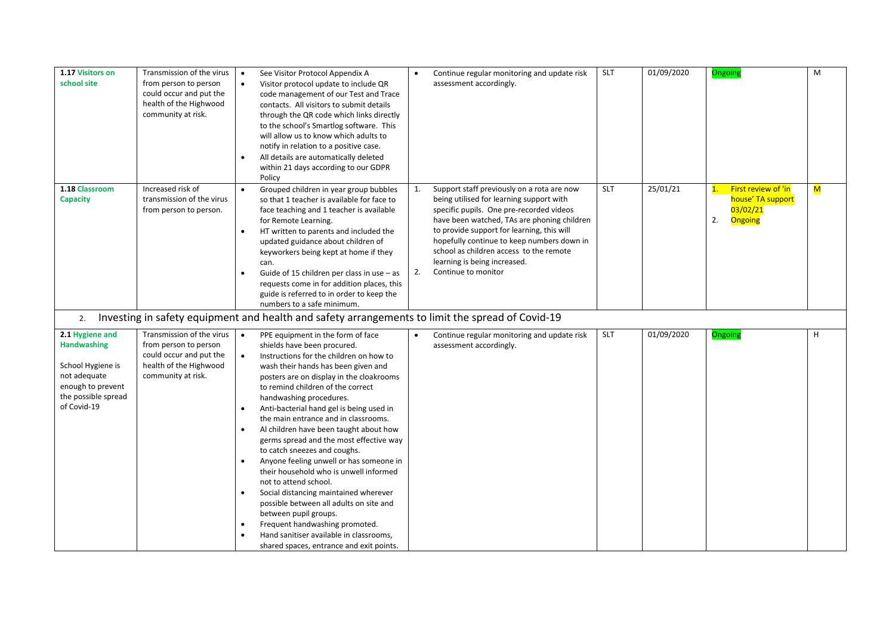| 1.17 Visitors on<br>school site                                                                                                       | Transmission of the virus<br>from person to person<br>could occur and put the<br>health of the Highwood<br>community at risk. |                        | See Visitor Protocol Appendix A<br>Visitor protocol update to include QR<br>code management of our Test and Trace<br>contacts. All visitors to submit details<br>through the QR code which links directly<br>to the school's Smartlog software. This<br>will allow us to know which adults to<br>notify in relation to a positive case.<br>All details are automatically deleted<br>within 21 days according to our GDPR<br>Policy                                                                                                                                                                                                                                                                                                                                                                                          | $\bullet$ | Continue regular monitoring and update risk<br>assessment accordingly.                                                                                                                                                                                                                                                                                                          | <b>SLT</b> | 01/09/2020 | Ongoing                                                                                            | M                       |
|---------------------------------------------------------------------------------------------------------------------------------------|-------------------------------------------------------------------------------------------------------------------------------|------------------------|-----------------------------------------------------------------------------------------------------------------------------------------------------------------------------------------------------------------------------------------------------------------------------------------------------------------------------------------------------------------------------------------------------------------------------------------------------------------------------------------------------------------------------------------------------------------------------------------------------------------------------------------------------------------------------------------------------------------------------------------------------------------------------------------------------------------------------|-----------|---------------------------------------------------------------------------------------------------------------------------------------------------------------------------------------------------------------------------------------------------------------------------------------------------------------------------------------------------------------------------------|------------|------------|----------------------------------------------------------------------------------------------------|-------------------------|
| 1.18 Classroom<br><b>Capacity</b>                                                                                                     | Increased risk of<br>transmission of the virus<br>from person to person.                                                      | $\bullet$<br>$\bullet$ | Grouped children in year group bubbles<br>so that 1 teacher is available for face to<br>face teaching and 1 teacher is available<br>for Remote Learning.<br>HT written to parents and included the<br>updated guidance about children of<br>keyworkers being kept at home if they<br>can.<br>Guide of 15 children per class in use - as<br>requests come in for addition places, this<br>guide is referred to in order to keep the<br>numbers to a safe minimum.                                                                                                                                                                                                                                                                                                                                                            | 1.<br>2.  | Support staff previously on a rota are now<br>being utilised for learning support with<br>specific pupils. One pre-recorded videos<br>have been watched, TAs are phoning children<br>to provide support for learning, this will<br>hopefully continue to keep numbers down in<br>school as children access to the remote<br>learning is being increased.<br>Continue to monitor | <b>SLT</b> | 25/01/21   | First review of 'in<br>$\overline{\mathbf{1}}$ .<br>house' TA support<br>03/02/21<br>2.<br>Ongoing | $\overline{\mathsf{M}}$ |
| 2.                                                                                                                                    |                                                                                                                               |                        | Investing in safety equipment and health and safety arrangements to limit the spread of Covid-19                                                                                                                                                                                                                                                                                                                                                                                                                                                                                                                                                                                                                                                                                                                            |           |                                                                                                                                                                                                                                                                                                                                                                                 |            |            |                                                                                                    |                         |
| 2.1 Hygiene and<br><b>Handwashing</b><br>School Hygiene is<br>not adequate<br>enough to prevent<br>the possible spread<br>of Covid-19 | Transmission of the virus<br>from person to person<br>could occur and put the<br>health of the Highwood<br>community at risk. | $\bullet$<br>$\bullet$ | PPE equipment in the form of face<br>shields have been procured.<br>Instructions for the children on how to<br>wash their hands has been given and<br>posters are on display in the cloakrooms<br>to remind children of the correct<br>handwashing procedures.<br>Anti-bacterial hand gel is being used in<br>the main entrance and in classrooms.<br>Al children have been taught about how<br>germs spread and the most effective way<br>to catch sneezes and coughs.<br>Anyone feeling unwell or has someone in<br>their household who is unwell informed<br>not to attend school.<br>Social distancing maintained wherever<br>possible between all adults on site and<br>between pupil groups.<br>Frequent handwashing promoted.<br>Hand sanitiser available in classrooms,<br>shared spaces, entrance and exit points. | $\bullet$ | Continue regular monitoring and update risk<br>assessment accordingly.                                                                                                                                                                                                                                                                                                          | <b>SLT</b> | 01/09/2020 | Ongoing                                                                                            | H                       |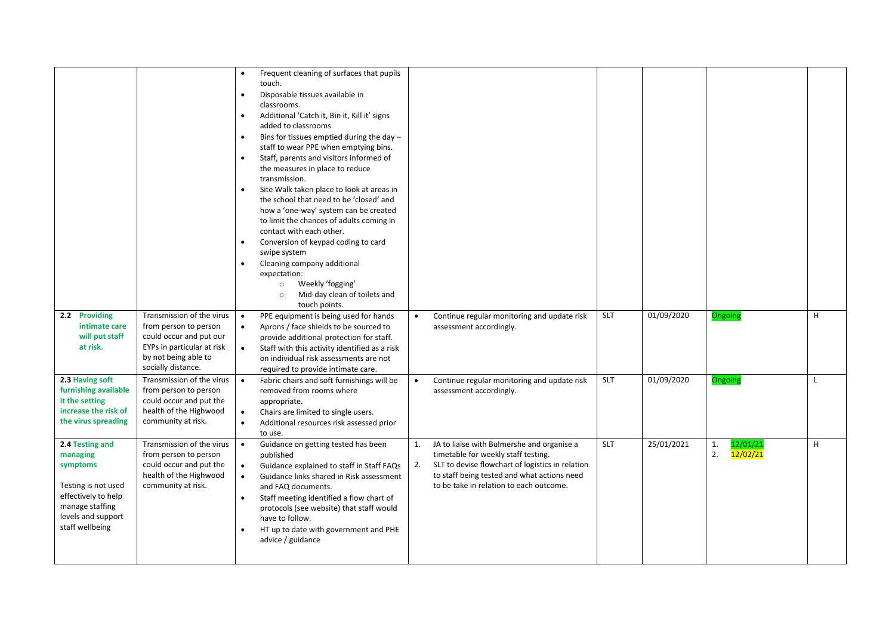|                                             |                                                    |                        | Frequent cleaning of surfaces that pupils<br>touch.                                |           |                                                                                         |            |            |         |          |   |
|---------------------------------------------|----------------------------------------------------|------------------------|------------------------------------------------------------------------------------|-----------|-----------------------------------------------------------------------------------------|------------|------------|---------|----------|---|
|                                             |                                                    | $\bullet$              | Disposable tissues available in                                                    |           |                                                                                         |            |            |         |          |   |
|                                             |                                                    |                        | classrooms.<br>Additional 'Catch it, Bin it, Kill it' signs                        |           |                                                                                         |            |            |         |          |   |
|                                             |                                                    |                        | added to classrooms                                                                |           |                                                                                         |            |            |         |          |   |
|                                             |                                                    | $\bullet$              | Bins for tissues emptied during the day -<br>staff to wear PPE when emptying bins. |           |                                                                                         |            |            |         |          |   |
|                                             |                                                    |                        | Staff, parents and visitors informed of                                            |           |                                                                                         |            |            |         |          |   |
|                                             |                                                    |                        | the measures in place to reduce                                                    |           |                                                                                         |            |            |         |          |   |
|                                             |                                                    | $\bullet$              | transmission.<br>Site Walk taken place to look at areas in                         |           |                                                                                         |            |            |         |          |   |
|                                             |                                                    |                        | the school that need to be 'closed' and                                            |           |                                                                                         |            |            |         |          |   |
|                                             |                                                    |                        | how a 'one-way' system can be created                                              |           |                                                                                         |            |            |         |          |   |
|                                             |                                                    |                        | to limit the chances of adults coming in                                           |           |                                                                                         |            |            |         |          |   |
|                                             |                                                    | $\bullet$              | contact with each other.<br>Conversion of keypad coding to card                    |           |                                                                                         |            |            |         |          |   |
|                                             |                                                    |                        | swipe system                                                                       |           |                                                                                         |            |            |         |          |   |
|                                             |                                                    |                        | Cleaning company additional                                                        |           |                                                                                         |            |            |         |          |   |
|                                             |                                                    |                        | expectation:<br>Weekly 'fogging'<br>$\circ$                                        |           |                                                                                         |            |            |         |          |   |
|                                             |                                                    |                        | Mid-day clean of toilets and<br>$\circ$                                            |           |                                                                                         |            |            |         |          |   |
|                                             |                                                    |                        | touch points.                                                                      |           |                                                                                         |            |            |         |          |   |
| 2.2 Providing<br>intimate care              | Transmission of the virus<br>from person to person | $\bullet$<br>$\bullet$ | PPE equipment is being used for hands<br>Aprons / face shields to be sourced to    | $\bullet$ | Continue regular monitoring and update risk<br>assessment accordingly.                  | <b>SLT</b> | 01/09/2020 | Ongoing |          | H |
| will put staff                              | could occur and put our                            |                        | provide additional protection for staff.                                           |           |                                                                                         |            |            |         |          |   |
| at risk.                                    | EYPs in particular at risk                         | $\bullet$              | Staff with this activity identified as a risk                                      |           |                                                                                         |            |            |         |          |   |
|                                             | by not being able to<br>socially distance.         |                        | on individual risk assessments are not                                             |           |                                                                                         |            |            |         |          |   |
| 2.3 Having soft                             | Transmission of the virus                          | $\bullet$              | required to provide intimate care.<br>Fabric chairs and soft furnishings will be   | $\bullet$ | Continue regular monitoring and update risk                                             | <b>SLT</b> | 01/09/2020 | Ongoing |          | L |
| furnishing available                        | from person to person                              |                        | removed from rooms where                                                           |           | assessment accordingly.                                                                 |            |            |         |          |   |
| it the setting                              | could occur and put the                            |                        | appropriate.                                                                       |           |                                                                                         |            |            |         |          |   |
| increase the risk of<br>the virus spreading | health of the Highwood<br>community at risk.       | $\bullet$<br>$\bullet$ | Chairs are limited to single users.<br>Additional resources risk assessed prior    |           |                                                                                         |            |            |         |          |   |
|                                             |                                                    |                        | to use.                                                                            |           |                                                                                         |            |            |         |          |   |
| 2.4 Testing and                             | Transmission of the virus                          | $\bullet$              | Guidance on getting tested has been                                                | 1.        | JA to liaise with Bulmershe and organise a                                              | <b>SLT</b> | 25/01/2021 | 1.      | 12/01/21 | H |
| managing<br>symptoms                        | from person to person<br>could occur and put the   | $\bullet$              | published<br>Guidance explained to staff in Staff FAQs                             | 2.        | timetable for weekly staff testing.<br>SLT to devise flowchart of logistics in relation |            |            | 2.      | 12/02/21 |   |
|                                             | health of the Highwood                             | $\bullet$              | Guidance links shared in Risk assessment                                           |           | to staff being tested and what actions need                                             |            |            |         |          |   |
| Testing is not used                         | community at risk.                                 |                        | and FAQ documents.                                                                 |           | to be take in relation to each outcome.                                                 |            |            |         |          |   |
| effectively to help<br>manage staffing      |                                                    | $\bullet$              | Staff meeting identified a flow chart of                                           |           |                                                                                         |            |            |         |          |   |
| levels and support                          |                                                    |                        | protocols (see website) that staff would<br>have to follow.                        |           |                                                                                         |            |            |         |          |   |
| staff wellbeing                             |                                                    |                        | HT up to date with government and PHE                                              |           |                                                                                         |            |            |         |          |   |
|                                             |                                                    |                        | advice / guidance                                                                  |           |                                                                                         |            |            |         |          |   |
|                                             |                                                    |                        |                                                                                    |           |                                                                                         |            |            |         |          |   |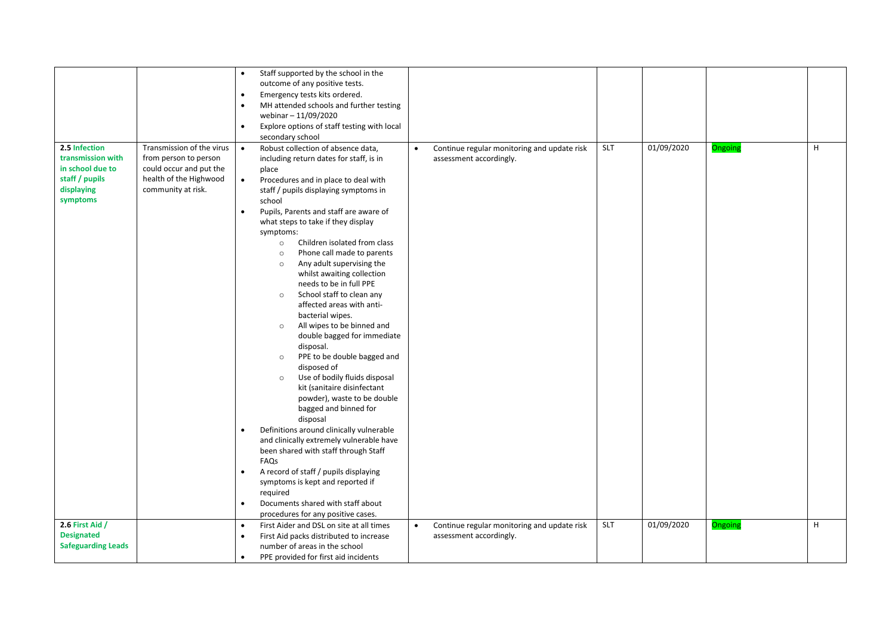|                           |                           | $\bullet$ | Staff supported by the school in the                              |           |                                             |            |            |         |   |
|---------------------------|---------------------------|-----------|-------------------------------------------------------------------|-----------|---------------------------------------------|------------|------------|---------|---|
|                           |                           |           | outcome of any positive tests.                                    |           |                                             |            |            |         |   |
|                           |                           | $\bullet$ | Emergency tests kits ordered.                                     |           |                                             |            |            |         |   |
|                           |                           | $\bullet$ | MH attended schools and further testing                           |           |                                             |            |            |         |   |
|                           |                           |           | webinar - 11/09/2020                                              |           |                                             |            |            |         |   |
|                           |                           | $\bullet$ | Explore options of staff testing with local                       |           |                                             |            |            |         |   |
|                           |                           |           | secondary school                                                  |           |                                             |            |            |         |   |
| 2.5 Infection             | Transmission of the virus | $\bullet$ | Robust collection of absence data,                                | $\bullet$ | Continue regular monitoring and update risk | <b>SLT</b> | 01/09/2020 | Ongoing | н |
| transmission with         | from person to person     |           | including return dates for staff, is in                           |           | assessment accordingly.                     |            |            |         |   |
| in school due to          | could occur and put the   |           | place                                                             |           |                                             |            |            |         |   |
| staff / pupils            | health of the Highwood    | $\bullet$ | Procedures and in place to deal with                              |           |                                             |            |            |         |   |
| displaying                | community at risk.        |           | staff / pupils displaying symptoms in                             |           |                                             |            |            |         |   |
| symptoms                  |                           |           | school                                                            |           |                                             |            |            |         |   |
|                           |                           | $\bullet$ | Pupils, Parents and staff are aware of                            |           |                                             |            |            |         |   |
|                           |                           |           | what steps to take if they display                                |           |                                             |            |            |         |   |
|                           |                           |           | symptoms:                                                         |           |                                             |            |            |         |   |
|                           |                           |           | Children isolated from class<br>$\circ$                           |           |                                             |            |            |         |   |
|                           |                           |           | Phone call made to parents<br>$\circ$                             |           |                                             |            |            |         |   |
|                           |                           |           | Any adult supervising the<br>$\circ$                              |           |                                             |            |            |         |   |
|                           |                           |           | whilst awaiting collection                                        |           |                                             |            |            |         |   |
|                           |                           |           | needs to be in full PPE                                           |           |                                             |            |            |         |   |
|                           |                           |           | School staff to clean any<br>$\circ$<br>affected areas with anti- |           |                                             |            |            |         |   |
|                           |                           |           | bacterial wipes.                                                  |           |                                             |            |            |         |   |
|                           |                           |           | All wipes to be binned and<br>$\circ$                             |           |                                             |            |            |         |   |
|                           |                           |           | double bagged for immediate                                       |           |                                             |            |            |         |   |
|                           |                           |           | disposal.                                                         |           |                                             |            |            |         |   |
|                           |                           |           | PPE to be double bagged and<br>$\circ$                            |           |                                             |            |            |         |   |
|                           |                           |           | disposed of                                                       |           |                                             |            |            |         |   |
|                           |                           |           | Use of bodily fluids disposal<br>$\circ$                          |           |                                             |            |            |         |   |
|                           |                           |           | kit (sanitaire disinfectant                                       |           |                                             |            |            |         |   |
|                           |                           |           | powder), waste to be double                                       |           |                                             |            |            |         |   |
|                           |                           |           | bagged and binned for                                             |           |                                             |            |            |         |   |
|                           |                           |           | disposal                                                          |           |                                             |            |            |         |   |
|                           |                           | $\bullet$ | Definitions around clinically vulnerable                          |           |                                             |            |            |         |   |
|                           |                           |           | and clinically extremely vulnerable have                          |           |                                             |            |            |         |   |
|                           |                           |           | been shared with staff through Staff                              |           |                                             |            |            |         |   |
|                           |                           |           | FAQs                                                              |           |                                             |            |            |         |   |
|                           |                           | $\bullet$ | A record of staff / pupils displaying                             |           |                                             |            |            |         |   |
|                           |                           |           | symptoms is kept and reported if                                  |           |                                             |            |            |         |   |
|                           |                           | $\bullet$ | required<br>Documents shared with staff about                     |           |                                             |            |            |         |   |
|                           |                           |           | procedures for any positive cases.                                |           |                                             |            |            |         |   |
| 2.6 First Aid /           |                           | $\bullet$ | First Aider and DSL on site at all times                          | $\bullet$ | Continue regular monitoring and update risk | <b>SLT</b> | 01/09/2020 | Ongoing | н |
| <b>Designated</b>         |                           | $\bullet$ | First Aid packs distributed to increase                           |           | assessment accordingly.                     |            |            |         |   |
| <b>Safeguarding Leads</b> |                           |           | number of areas in the school                                     |           |                                             |            |            |         |   |
|                           |                           | $\bullet$ | PPE provided for first aid incidents                              |           |                                             |            |            |         |   |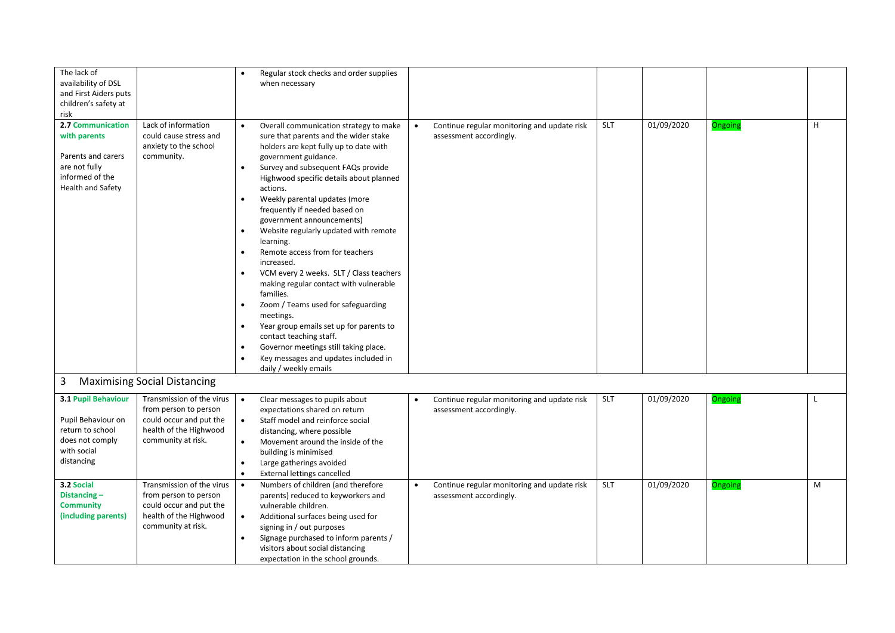| The lack of                                   |                                                  | $\bullet$ | Regular stock checks and order supplies                    |           |                                             |            |            |         |   |
|-----------------------------------------------|--------------------------------------------------|-----------|------------------------------------------------------------|-----------|---------------------------------------------|------------|------------|---------|---|
| availability of DSL                           |                                                  |           | when necessary                                             |           |                                             |            |            |         |   |
| and First Aiders puts<br>children's safety at |                                                  |           |                                                            |           |                                             |            |            |         |   |
| risk                                          |                                                  |           |                                                            |           |                                             |            |            |         |   |
| 2.7 Communication                             | Lack of information                              | $\bullet$ | Overall communication strategy to make                     | $\bullet$ | Continue regular monitoring and update risk | <b>SLT</b> | 01/09/2020 | Ongoing | H |
| with parents                                  | could cause stress and                           |           | sure that parents and the wider stake                      |           | assessment accordingly.                     |            |            |         |   |
|                                               | anxiety to the school                            |           | holders are kept fully up to date with                     |           |                                             |            |            |         |   |
| Parents and carers                            | community.                                       |           | government guidance.                                       |           |                                             |            |            |         |   |
| are not fully                                 |                                                  | $\bullet$ | Survey and subsequent FAQs provide                         |           |                                             |            |            |         |   |
| informed of the                               |                                                  |           | Highwood specific details about planned                    |           |                                             |            |            |         |   |
| <b>Health and Safety</b>                      |                                                  |           | actions.                                                   |           |                                             |            |            |         |   |
|                                               |                                                  |           | Weekly parental updates (more                              |           |                                             |            |            |         |   |
|                                               |                                                  |           | frequently if needed based on                              |           |                                             |            |            |         |   |
|                                               |                                                  |           | government announcements)                                  |           |                                             |            |            |         |   |
|                                               |                                                  |           | Website regularly updated with remote                      |           |                                             |            |            |         |   |
|                                               |                                                  |           | learning.<br>Remote access from for teachers               |           |                                             |            |            |         |   |
|                                               |                                                  |           | increased.                                                 |           |                                             |            |            |         |   |
|                                               |                                                  | $\bullet$ | VCM every 2 weeks. SLT / Class teachers                    |           |                                             |            |            |         |   |
|                                               |                                                  |           | making regular contact with vulnerable                     |           |                                             |            |            |         |   |
|                                               |                                                  |           | families.                                                  |           |                                             |            |            |         |   |
|                                               |                                                  |           | Zoom / Teams used for safeguarding                         |           |                                             |            |            |         |   |
|                                               |                                                  |           | meetings.                                                  |           |                                             |            |            |         |   |
|                                               |                                                  | $\bullet$ | Year group emails set up for parents to                    |           |                                             |            |            |         |   |
|                                               |                                                  |           | contact teaching staff.                                    |           |                                             |            |            |         |   |
|                                               |                                                  | $\bullet$ | Governor meetings still taking place.                      |           |                                             |            |            |         |   |
|                                               |                                                  |           | Key messages and updates included in                       |           |                                             |            |            |         |   |
|                                               |                                                  |           | daily / weekly emails                                      |           |                                             |            |            |         |   |
| 3                                             | <b>Maximising Social Distancing</b>              |           |                                                            |           |                                             |            |            |         |   |
| 3.1 Pupil Behaviour                           | Transmission of the virus                        | $\bullet$ | Clear messages to pupils about                             | $\bullet$ | Continue regular monitoring and update risk | <b>SLT</b> | 01/09/2020 | Ongoing |   |
|                                               | from person to person                            |           | expectations shared on return                              |           | assessment accordingly.                     |            |            |         |   |
| Pupil Behaviour on                            | could occur and put the                          | $\bullet$ | Staff model and reinforce social                           |           |                                             |            |            |         |   |
| return to school                              | health of the Highwood                           |           | distancing, where possible                                 |           |                                             |            |            |         |   |
| does not comply                               | community at risk.                               | $\bullet$ | Movement around the inside of the                          |           |                                             |            |            |         |   |
| with social                                   |                                                  |           | building is minimised                                      |           |                                             |            |            |         |   |
| distancing                                    |                                                  |           | Large gatherings avoided                                   |           |                                             |            |            |         |   |
|                                               |                                                  | $\bullet$ | External lettings cancelled                                |           |                                             |            |            |         |   |
| 3.2 Social                                    | Transmission of the virus                        | $\bullet$ | Numbers of children (and therefore                         | $\bullet$ | Continue regular monitoring and update risk | <b>SLT</b> | 01/09/2020 | Ongoing | M |
| Distancing-<br><b>Community</b>               | from person to person<br>could occur and put the |           | parents) reduced to keyworkers and<br>vulnerable children. |           | assessment accordingly.                     |            |            |         |   |
| (including parents)                           | health of the Highwood                           | $\bullet$ | Additional surfaces being used for                         |           |                                             |            |            |         |   |
|                                               | community at risk.                               |           | signing in / out purposes                                  |           |                                             |            |            |         |   |
|                                               |                                                  |           | Signage purchased to inform parents /                      |           |                                             |            |            |         |   |
|                                               |                                                  |           | visitors about social distancing                           |           |                                             |            |            |         |   |
|                                               |                                                  |           | expectation in the school grounds.                         |           |                                             |            |            |         |   |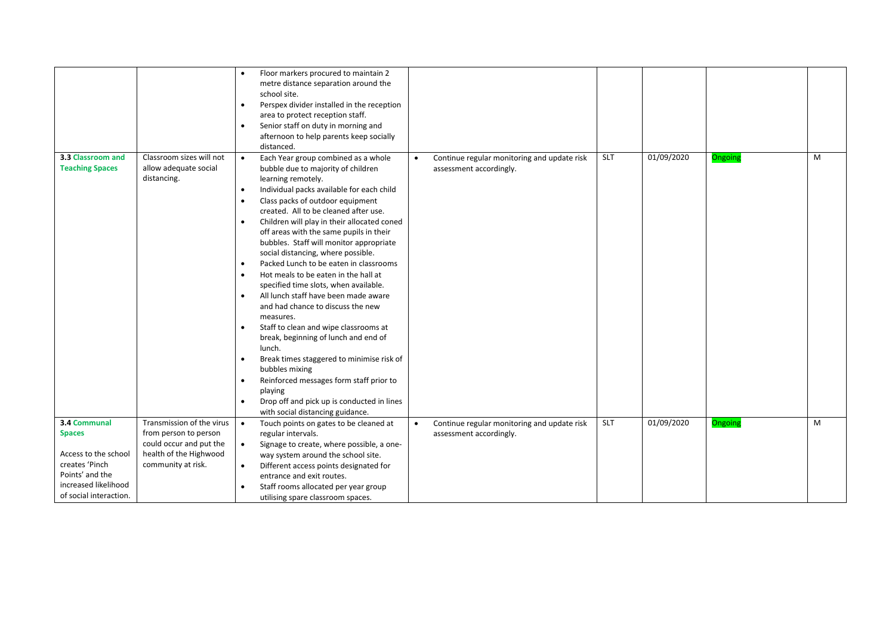|                        |                           | $\bullet$ | Floor markers procured to maintain 2                 |           |                                             |            |                     |         |   |
|------------------------|---------------------------|-----------|------------------------------------------------------|-----------|---------------------------------------------|------------|---------------------|---------|---|
|                        |                           |           | metre distance separation around the<br>school site. |           |                                             |            |                     |         |   |
|                        |                           | $\bullet$ | Perspex divider installed in the reception           |           |                                             |            |                     |         |   |
|                        |                           |           | area to protect reception staff.                     |           |                                             |            |                     |         |   |
|                        |                           | $\bullet$ | Senior staff on duty in morning and                  |           |                                             |            |                     |         |   |
|                        |                           |           | afternoon to help parents keep socially              |           |                                             |            |                     |         |   |
|                        |                           |           | distanced.                                           |           |                                             |            |                     |         |   |
| 3.3 Classroom and      | Classroom sizes will not  | $\bullet$ | Each Year group combined as a whole                  | $\bullet$ | Continue regular monitoring and update risk | <b>SLT</b> | $\sqrt{01/09/2020}$ | Ongoing | M |
| <b>Teaching Spaces</b> | allow adequate social     |           | bubble due to majority of children                   |           | assessment accordingly.                     |            |                     |         |   |
|                        | distancing.               |           | learning remotely.                                   |           |                                             |            |                     |         |   |
|                        |                           | $\bullet$ | Individual packs available for each child            |           |                                             |            |                     |         |   |
|                        |                           |           | Class packs of outdoor equipment                     |           |                                             |            |                     |         |   |
|                        |                           |           | created. All to be cleaned after use.                |           |                                             |            |                     |         |   |
|                        |                           |           | Children will play in their allocated coned          |           |                                             |            |                     |         |   |
|                        |                           |           | off areas with the same pupils in their              |           |                                             |            |                     |         |   |
|                        |                           |           | bubbles. Staff will monitor appropriate              |           |                                             |            |                     |         |   |
|                        |                           |           | social distancing, where possible.                   |           |                                             |            |                     |         |   |
|                        |                           |           | Packed Lunch to be eaten in classrooms               |           |                                             |            |                     |         |   |
|                        |                           |           | Hot meals to be eaten in the hall at                 |           |                                             |            |                     |         |   |
|                        |                           |           | specified time slots, when available.                |           |                                             |            |                     |         |   |
|                        |                           | $\bullet$ | All lunch staff have been made aware                 |           |                                             |            |                     |         |   |
|                        |                           |           | and had chance to discuss the new                    |           |                                             |            |                     |         |   |
|                        |                           |           | measures.                                            |           |                                             |            |                     |         |   |
|                        |                           |           | Staff to clean and wipe classrooms at                |           |                                             |            |                     |         |   |
|                        |                           |           | break, beginning of lunch and end of                 |           |                                             |            |                     |         |   |
|                        |                           |           | lunch.                                               |           |                                             |            |                     |         |   |
|                        |                           | $\bullet$ | Break times staggered to minimise risk of            |           |                                             |            |                     |         |   |
|                        |                           |           | bubbles mixing                                       |           |                                             |            |                     |         |   |
|                        |                           |           | Reinforced messages form staff prior to<br>playing   |           |                                             |            |                     |         |   |
|                        |                           |           | Drop off and pick up is conducted in lines           |           |                                             |            |                     |         |   |
|                        |                           |           | with social distancing guidance.                     |           |                                             |            |                     |         |   |
| 3.4 Communal           | Transmission of the virus | $\bullet$ | Touch points on gates to be cleaned at               | $\bullet$ | Continue regular monitoring and update risk | <b>SLT</b> | 01/09/2020          | Ongoing | M |
| <b>Spaces</b>          | from person to person     |           | regular intervals.                                   |           | assessment accordingly.                     |            |                     |         |   |
|                        | could occur and put the   | $\bullet$ | Signage to create, where possible, a one-            |           |                                             |            |                     |         |   |
| Access to the school   | health of the Highwood    |           | way system around the school site.                   |           |                                             |            |                     |         |   |
| creates 'Pinch         | community at risk.        | $\bullet$ | Different access points designated for               |           |                                             |            |                     |         |   |
| Points' and the        |                           |           | entrance and exit routes.                            |           |                                             |            |                     |         |   |
| increased likelihood   |                           |           | Staff rooms allocated per year group                 |           |                                             |            |                     |         |   |
| of social interaction. |                           |           | utilising spare classroom spaces.                    |           |                                             |            |                     |         |   |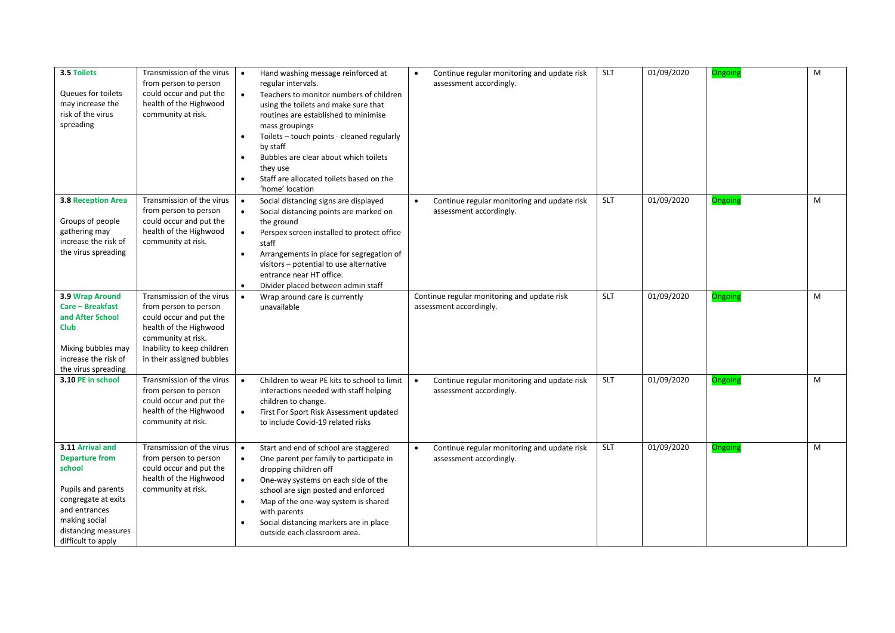| 3.5 Toilets<br>Queues for toilets<br>may increase the<br>risk of the virus<br>spreading                                                                                         | Transmission of the virus<br>from person to person<br>could occur and put the<br>health of the Highwood<br>community at risk.                                                            | Hand washing message reinforced at<br>regular intervals.<br>Teachers to monitor numbers of children<br>$\bullet$<br>using the toilets and make sure that<br>routines are established to minimise<br>mass groupings<br>Toilets - touch points - cleaned regularly<br>by staff<br>Bubbles are clear about which toilets<br>they use<br>Staff are allocated toilets based on the<br>'home' location | Continue regular monitoring and update risk<br>٠<br>assessment accordingly.         | <b>SLT</b> | 01/09/2020 | Ongoing | M |
|---------------------------------------------------------------------------------------------------------------------------------------------------------------------------------|------------------------------------------------------------------------------------------------------------------------------------------------------------------------------------------|--------------------------------------------------------------------------------------------------------------------------------------------------------------------------------------------------------------------------------------------------------------------------------------------------------------------------------------------------------------------------------------------------|-------------------------------------------------------------------------------------|------------|------------|---------|---|
| <b>3.8 Reception Area</b><br>Groups of people<br>gathering may<br>increase the risk of<br>the virus spreading                                                                   | Transmission of the virus<br>from person to person<br>could occur and put the<br>health of the Highwood<br>community at risk.                                                            | Social distancing signs are displayed<br>$\bullet$<br>Social distancing points are marked on<br>$\bullet$<br>the ground<br>Perspex screen installed to protect office<br>$\bullet$<br>staff<br>Arrangements in place for segregation of<br>$\bullet$<br>visitors - potential to use alternative<br>entrance near HT office.<br>Divider placed between admin staff<br>$\bullet$                   | Continue regular monitoring and update risk<br>assessment accordingly.              | <b>SLT</b> | 01/09/2020 | Ongoing | M |
| 3.9 Wrap Around<br>Care - Breakfast<br>and After School<br><b>Club</b><br>Mixing bubbles may<br>increase the risk of<br>the virus spreading                                     | Transmission of the virus<br>from person to person<br>could occur and put the<br>health of the Highwood<br>community at risk.<br>Inability to keep children<br>in their assigned bubbles | Wrap around care is currently<br>unavailable                                                                                                                                                                                                                                                                                                                                                     | Continue regular monitoring and update risk<br>assessment accordingly.              | <b>SLT</b> | 01/09/2020 | Ongoing | M |
| 3.10 PE in school                                                                                                                                                               | Transmission of the virus<br>from person to person<br>could occur and put the<br>health of the Highwood<br>community at risk.                                                            | Children to wear PE kits to school to limit<br>$\bullet$<br>interactions needed with staff helping<br>children to change.<br>First For Sport Risk Assessment updated<br>$\bullet$<br>to include Covid-19 related risks                                                                                                                                                                           | Continue regular monitoring and update risk<br>$\bullet$<br>assessment accordingly. | <b>SLT</b> | 01/09/2020 | Ongoing | M |
| 3.11 Arrival and<br><b>Departure from</b><br>school<br>Pupils and parents<br>congregate at exits<br>and entrances<br>making social<br>distancing measures<br>difficult to apply | Transmission of the virus<br>from person to person<br>could occur and put the<br>health of the Highwood<br>community at risk.                                                            | Start and end of school are staggered<br>$\bullet$<br>One parent per family to participate in<br>$\bullet$<br>dropping children off<br>One-way systems on each side of the<br>$\bullet$<br>school are sign posted and enforced<br>Map of the one-way system is shared<br>with parents<br>Social distancing markers are in place<br>outside each classroom area.                                  | Continue regular monitoring and update risk<br>$\bullet$<br>assessment accordingly. | <b>SLT</b> | 01/09/2020 | Ongoing | M |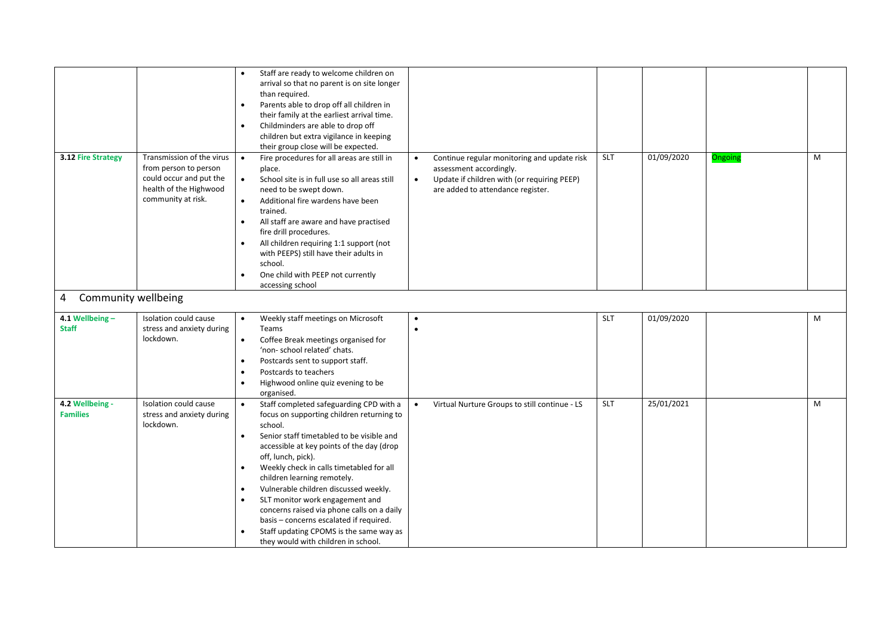|                                    |                                                                                                                               | Staff are ready to welcome children on<br>arrival so that no parent is on site longer<br>than required.<br>Parents able to drop off all children in<br>their family at the earliest arrival time.<br>Childminders are able to drop off<br>$\bullet$<br>children but extra vigilance in keeping<br>their group close will be expected.                                                                                                                                                                                                                                                    |                                                                                                                                                                                      |            |            |         |   |
|------------------------------------|-------------------------------------------------------------------------------------------------------------------------------|------------------------------------------------------------------------------------------------------------------------------------------------------------------------------------------------------------------------------------------------------------------------------------------------------------------------------------------------------------------------------------------------------------------------------------------------------------------------------------------------------------------------------------------------------------------------------------------|--------------------------------------------------------------------------------------------------------------------------------------------------------------------------------------|------------|------------|---------|---|
| 3.12 Fire Strategy                 | Transmission of the virus<br>from person to person<br>could occur and put the<br>health of the Highwood<br>community at risk. | Fire procedures for all areas are still in<br>$\bullet$<br>place.<br>School site is in full use so all areas still<br>$\bullet$<br>need to be swept down.<br>Additional fire wardens have been<br>$\bullet$<br>trained.<br>All staff are aware and have practised<br>$\bullet$<br>fire drill procedures.<br>All children requiring 1:1 support (not<br>with PEEPS) still have their adults in<br>school.<br>One child with PEEP not currently<br>accessing school                                                                                                                        | Continue regular monitoring and update risk<br>$\bullet$<br>assessment accordingly.<br>Update if children with (or requiring PEEP)<br>$\bullet$<br>are added to attendance register. | SLT        | 01/09/2020 | Ongoing | M |
| Community wellbeing<br>4           |                                                                                                                               |                                                                                                                                                                                                                                                                                                                                                                                                                                                                                                                                                                                          |                                                                                                                                                                                      |            |            |         |   |
| 4.1 Wellbeing-<br><b>Staff</b>     | Isolation could cause<br>stress and anxiety during<br>lockdown.                                                               | Weekly staff meetings on Microsoft<br>$\bullet$<br>Teams<br>Coffee Break meetings organised for<br>$\bullet$<br>'non- school related' chats.<br>Postcards sent to support staff.<br>Postcards to teachers<br>Highwood online quiz evening to be<br>organised.                                                                                                                                                                                                                                                                                                                            | $\bullet$<br>$\bullet$                                                                                                                                                               | SLT        | 01/09/2020 |         | M |
| 4.2 Wellbeing -<br><b>Families</b> | Isolation could cause<br>stress and anxiety during<br>lockdown.                                                               | Staff completed safeguarding CPD with a<br>$\bullet$<br>focus on supporting children returning to<br>school.<br>Senior staff timetabled to be visible and<br>$\bullet$<br>accessible at key points of the day (drop<br>off, lunch, pick).<br>Weekly check in calls timetabled for all<br>$\bullet$<br>children learning remotely.<br>Vulnerable children discussed weekly.<br>SLT monitor work engagement and<br>concerns raised via phone calls on a daily<br>basis - concerns escalated if required.<br>Staff updating CPOMS is the same way as<br>they would with children in school. | Virtual Nurture Groups to still continue - LS<br>$\bullet$                                                                                                                           | <b>SLT</b> | 25/01/2021 |         | M |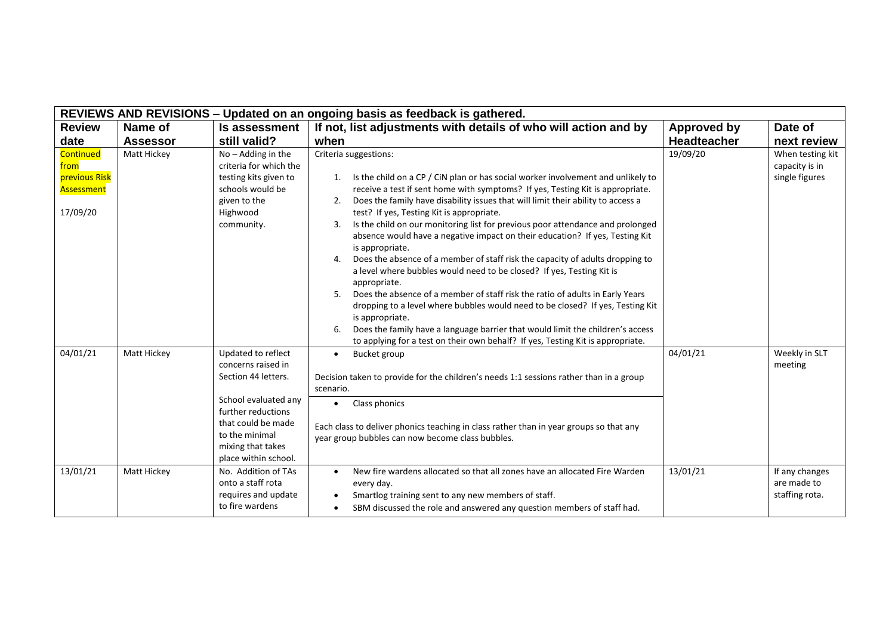|                                                              | REVIEWS AND REVISIONS - Updated on an ongoing basis as feedback is gathered. |                                                                                                                                                                                                    |                                                                                                                                                                                                                                                                                                                                                                                                                                                                                                                                                                                                                                                                                                                                                                                                                                                                                                                                                                                                                                                                                   |                    |                                                      |  |  |
|--------------------------------------------------------------|------------------------------------------------------------------------------|----------------------------------------------------------------------------------------------------------------------------------------------------------------------------------------------------|-----------------------------------------------------------------------------------------------------------------------------------------------------------------------------------------------------------------------------------------------------------------------------------------------------------------------------------------------------------------------------------------------------------------------------------------------------------------------------------------------------------------------------------------------------------------------------------------------------------------------------------------------------------------------------------------------------------------------------------------------------------------------------------------------------------------------------------------------------------------------------------------------------------------------------------------------------------------------------------------------------------------------------------------------------------------------------------|--------------------|------------------------------------------------------|--|--|
| <b>Review</b>                                                | Name of                                                                      | Is assessment                                                                                                                                                                                      | If not, list adjustments with details of who will action and by                                                                                                                                                                                                                                                                                                                                                                                                                                                                                                                                                                                                                                                                                                                                                                                                                                                                                                                                                                                                                   | <b>Approved by</b> | Date of                                              |  |  |
| date                                                         | <b>Assessor</b>                                                              | still valid?                                                                                                                                                                                       | when                                                                                                                                                                                                                                                                                                                                                                                                                                                                                                                                                                                                                                                                                                                                                                                                                                                                                                                                                                                                                                                                              | Headteacher        | next review                                          |  |  |
| Continued<br>from<br>previous Risk<br>Assessment<br>17/09/20 | Matt Hickey                                                                  | $\overline{No}$ – Adding in the<br>criteria for which the<br>testing kits given to<br>schools would be<br>given to the<br>Highwood<br>community.                                                   | Criteria suggestions:<br>1. Is the child on a CP / CiN plan or has social worker involvement and unlikely to<br>receive a test if sent home with symptoms? If yes, Testing Kit is appropriate.<br>Does the family have disability issues that will limit their ability to access a<br>2.<br>test? If yes, Testing Kit is appropriate.<br>Is the child on our monitoring list for previous poor attendance and prolonged<br>3.<br>absence would have a negative impact on their education? If yes, Testing Kit<br>is appropriate.<br>Does the absence of a member of staff risk the capacity of adults dropping to<br>4.<br>a level where bubbles would need to be closed? If yes, Testing Kit is<br>appropriate.<br>Does the absence of a member of staff risk the ratio of adults in Early Years<br>dropping to a level where bubbles would need to be closed? If yes, Testing Kit<br>is appropriate.<br>Does the family have a language barrier that would limit the children's access<br>6.<br>to applying for a test on their own behalf? If yes, Testing Kit is appropriate. | 19/09/20           | When testing kit<br>capacity is in<br>single figures |  |  |
| 04/01/21                                                     | Matt Hickey                                                                  | Updated to reflect<br>concerns raised in<br>Section 44 letters.<br>School evaluated any<br>further reductions<br>that could be made<br>to the minimal<br>mixing that takes<br>place within school. | <b>Bucket group</b><br>$\bullet$<br>Decision taken to provide for the children's needs 1:1 sessions rather than in a group<br>scenario.<br>Class phonics<br>$\bullet$<br>Each class to deliver phonics teaching in class rather than in year groups so that any<br>year group bubbles can now become class bubbles.                                                                                                                                                                                                                                                                                                                                                                                                                                                                                                                                                                                                                                                                                                                                                               | 04/01/21           | Weekly in SLT<br>meeting                             |  |  |
| 13/01/21                                                     | Matt Hickey                                                                  | No. Addition of TAs<br>onto a staff rota<br>requires and update<br>to fire wardens                                                                                                                 | New fire wardens allocated so that all zones have an allocated Fire Warden<br>$\bullet$<br>every day.<br>Smartlog training sent to any new members of staff.<br>$\bullet$<br>SBM discussed the role and answered any question members of staff had.<br>$\bullet$                                                                                                                                                                                                                                                                                                                                                                                                                                                                                                                                                                                                                                                                                                                                                                                                                  | 13/01/21           | If any changes<br>are made to<br>staffing rota.      |  |  |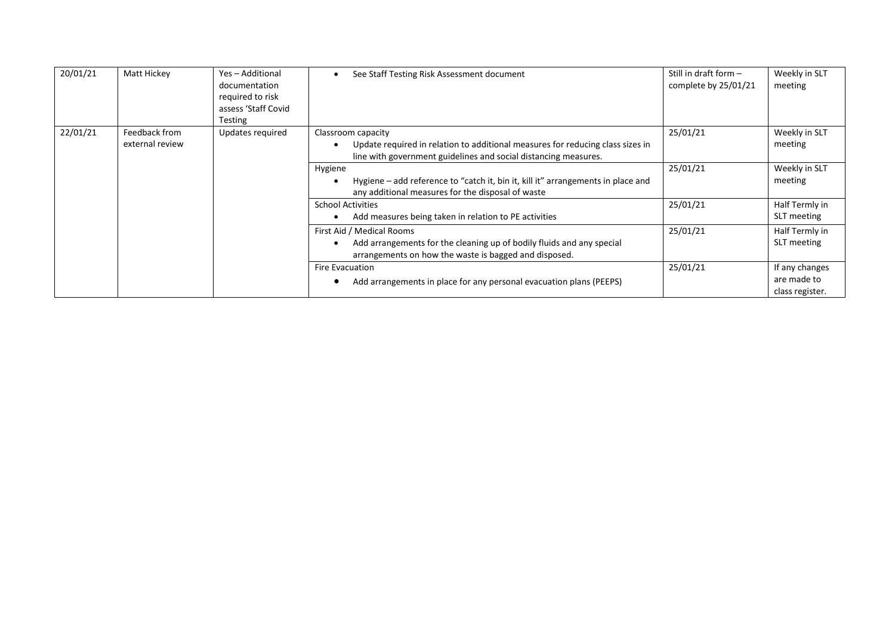| 20/01/21 | Matt Hickey                      | Yes - Additional<br>documentation<br>required to risk<br>assess 'Staff Covid<br><b>Testing</b> | See Staff Testing Risk Assessment document<br>$\bullet$                                                                                                                 | Still in draft form $-$<br>complete by 25/01/21 | Weekly in SLT<br>meeting                         |
|----------|----------------------------------|------------------------------------------------------------------------------------------------|-------------------------------------------------------------------------------------------------------------------------------------------------------------------------|-------------------------------------------------|--------------------------------------------------|
| 22/01/21 | Feedback from<br>external review | Updates required                                                                               | Classroom capacity<br>Update required in relation to additional measures for reducing class sizes in<br>line with government guidelines and social distancing measures. | 25/01/21                                        | Weekly in SLT<br>meeting                         |
|          |                                  |                                                                                                | Hygiene<br>Hygiene – add reference to "catch it, bin it, kill it" arrangements in place and<br>any additional measures for the disposal of waste                        | 25/01/21                                        | Weekly in SLT<br>meeting                         |
|          |                                  |                                                                                                | <b>School Activities</b><br>Add measures being taken in relation to PE activities                                                                                       | 25/01/21                                        | Half Termly in<br>SLT meeting                    |
|          |                                  |                                                                                                | First Aid / Medical Rooms<br>Add arrangements for the cleaning up of bodily fluids and any special<br>arrangements on how the waste is bagged and disposed.             | 25/01/21                                        | Half Termly in<br>SLT meeting                    |
|          |                                  |                                                                                                | Fire Evacuation<br>Add arrangements in place for any personal evacuation plans (PEEPS)                                                                                  | 25/01/21                                        | If any changes<br>are made to<br>class register. |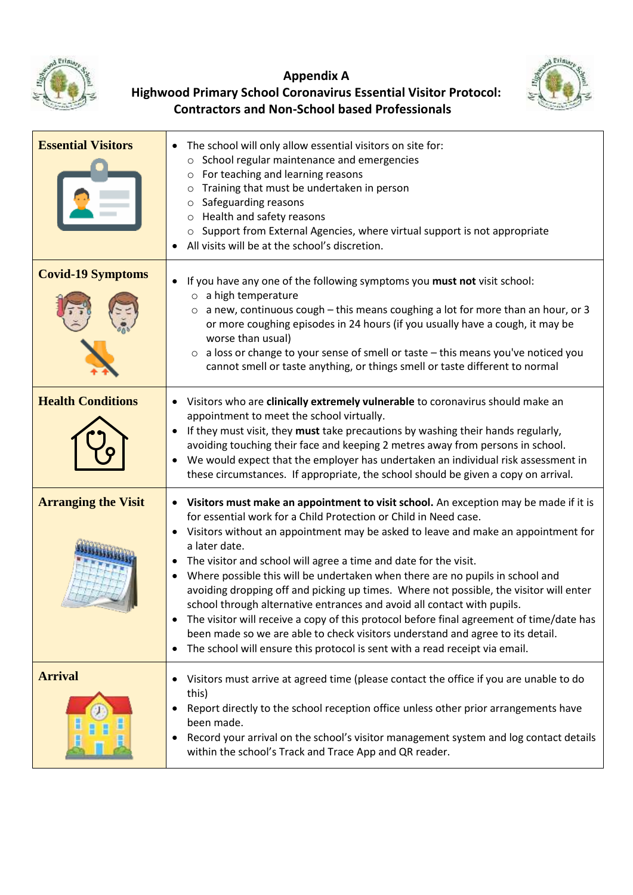

## **Appendix A**



## **Highwood Primary School Coronavirus Essential Visitor Protocol: Contractors and Non-School based Professionals**

| <b>Essential Visitors</b>  | The school will only allow essential visitors on site for:<br>School regular maintenance and emergencies<br>$\circ$<br>For teaching and learning reasons<br>$\circ$<br>Training that must be undertaken in person<br>O<br>Safeguarding reasons<br>O<br>Health and safety reasons<br>O<br>Support from External Agencies, where virtual support is not appropriate<br>All visits will be at the school's discretion.                                                                                                                                                                                                                                                                                                                                                                                                                                                                                 |
|----------------------------|-----------------------------------------------------------------------------------------------------------------------------------------------------------------------------------------------------------------------------------------------------------------------------------------------------------------------------------------------------------------------------------------------------------------------------------------------------------------------------------------------------------------------------------------------------------------------------------------------------------------------------------------------------------------------------------------------------------------------------------------------------------------------------------------------------------------------------------------------------------------------------------------------------|
| <b>Covid-19 Symptoms</b>   | If you have any one of the following symptoms you must not visit school:<br>$\circ$ a high temperature<br>a new, continuous cough - this means coughing a lot for more than an hour, or 3<br>$\circ$<br>or more coughing episodes in 24 hours (if you usually have a cough, it may be<br>worse than usual)<br>$\circ$ a loss or change to your sense of smell or taste – this means you've noticed you<br>cannot smell or taste anything, or things smell or taste different to normal                                                                                                                                                                                                                                                                                                                                                                                                              |
| <b>Health Conditions</b>   | Visitors who are clinically extremely vulnerable to coronavirus should make an<br>appointment to meet the school virtually.<br>If they must visit, they must take precautions by washing their hands regularly,<br>$\bullet$<br>avoiding touching their face and keeping 2 metres away from persons in school.<br>We would expect that the employer has undertaken an individual risk assessment in<br>these circumstances. If appropriate, the school should be given a copy on arrival.                                                                                                                                                                                                                                                                                                                                                                                                           |
| <b>Arranging the Visit</b> | • Visitors must make an appointment to visit school. An exception may be made if it is<br>for essential work for a Child Protection or Child in Need case.<br>Visitors without an appointment may be asked to leave and make an appointment for<br>$\bullet$<br>a later date.<br>The visitor and school will agree a time and date for the visit.<br>$\bullet$<br>Where possible this will be undertaken when there are no pupils in school and<br>$\bullet$<br>avoiding dropping off and picking up times. Where not possible, the visitor will enter<br>school through alternative entrances and avoid all contact with pupils.<br>The visitor will receive a copy of this protocol before final agreement of time/date has<br>been made so we are able to check visitors understand and agree to its detail.<br>The school will ensure this protocol is sent with a read receipt via email.<br>٠ |
| <b>Arrival</b>             | Visitors must arrive at agreed time (please contact the office if you are unable to do<br>this)<br>Report directly to the school reception office unless other prior arrangements have<br>٠<br>been made.<br>Record your arrival on the school's visitor management system and log contact details<br>within the school's Track and Trace App and QR reader.                                                                                                                                                                                                                                                                                                                                                                                                                                                                                                                                        |